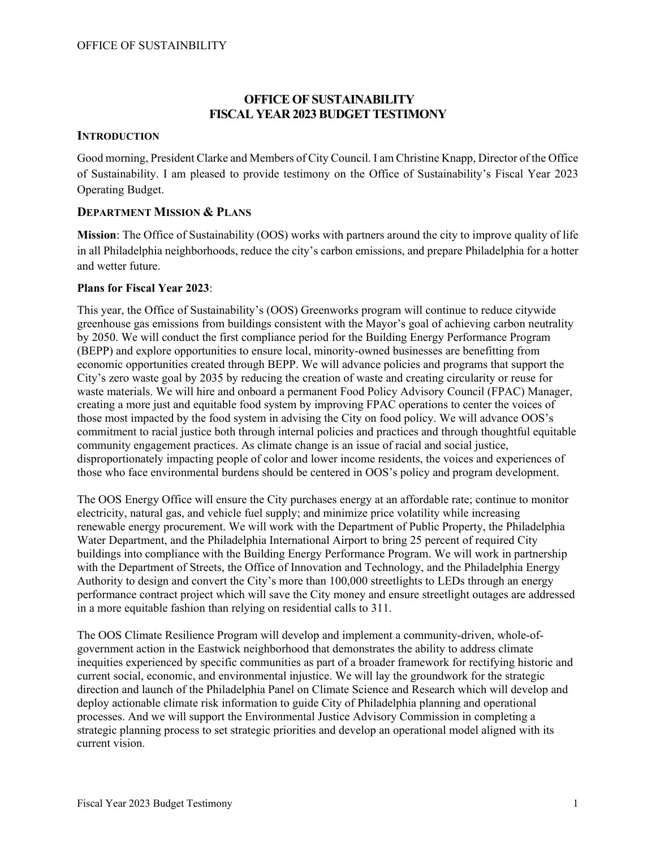# **OFFICE OF SUSTAINABILITY FISCAL YEAR 2023 BUDGET TESTIMONY**

## **INTRODUCTION**

Good morning, President Clarke and Members of City Council. I am Christine Knapp, Director of the Office of Sustainability. I am pleased to provide testimony on the Office of Sustainability's Fiscal Year 2023 Operating Budget.

## **DEPARTMENT MISSION & PLANS**

**Mission**: The Office of Sustainability (OOS) works with partners around the city to improve quality of life in all Philadelphia neighborhoods, reduce the city's carbon emissions, and prepare Philadelphia for a hotter and wetter future.

### **Plans for Fiscal Year 2023**:

This year, the Office of Sustainability's (OOS) Greenworks program will continue to reduce citywide greenhouse gas emissions from buildings consistent with the Mayor's goal of achieving carbon neutrality by 2050. We will conduct the first compliance period for the Building Energy Performance Program (BEPP) and explore opportunities to ensure local, minority-owned businesses are benefitting from economic opportunities created through BEPP. We will advance policies and programs that support the City's zero waste goal by 2035 by reducing the creation of waste and creating circularity or reuse for waste materials. We will hire and onboard a permanent Food Policy Advisory Council (FPAC) Manager, creating a more just and equitable food system by improving FPAC operations to center the voices of those most impacted by the food system in advising the City on food policy. We will advance OOS's commitment to racial justice both through internal policies and practices and through thoughtful equitable community engagement practices. As climate change is an issue of racial and social justice, disproportionately impacting people of color and lower income residents, the voices and experiences of those who face environmental burdens should be centered in OOS's policy and program development.

The OOS Energy Office will ensure the City purchases energy at an affordable rate; continue to monitor electricity, natural gas, and vehicle fuel supply; and minimize price volatility while increasing renewable energy procurement. We will work with the Department of Public Property, the Philadelphia Water Department, and the Philadelphia International Airport to bring 25 percent of required City buildings into compliance with the Building Energy Performance Program. We will work in partnership with the Department of Streets, the Office of Innovation and Technology, and the Philadelphia Energy Authority to design and convert the City's more than 100,000 streetlights to LEDs through an energy performance contract project which will save the City money and ensure streetlight outages are addressed in a more equitable fashion than relying on residential calls to 311.

The OOS Climate Resilience Program will develop and implement a community-driven, whole-ofgovernment action in the Eastwick neighborhood that demonstrates the ability to address climate inequities experienced by specific communities as part of a broader framework for rectifying historic and current social, economic, and environmental injustice. We will lay the groundwork for the strategic direction and launch of the Philadelphia Panel on Climate Science and Research which will develop and deploy actionable climate risk information to guide City of Philadelphia planning and operational processes. And we will support the Environmental Justice Advisory Commission in completing a strategic planning process to set strategic priorities and develop an operational model aligned with its current vision.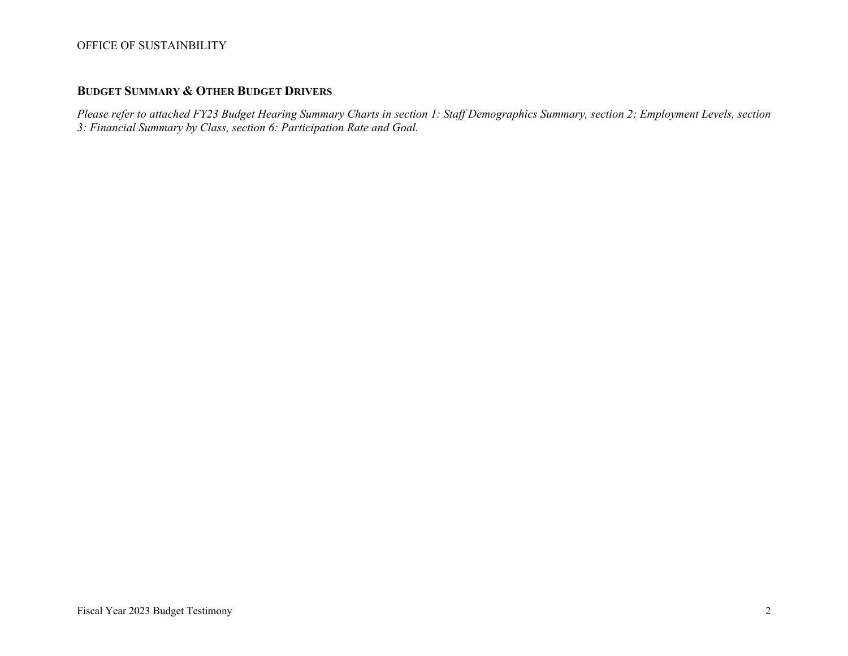# **BUDGET SUMMARY & OTHER BUDGET DRIVERS**

*Please refer to attached FY23 Budget Hearing Summary Charts in section 1: Staff Demographics Summary, section 2; Employment Levels, section 3: Financial Summary by Class, section 6: Participation Rate and Goal.*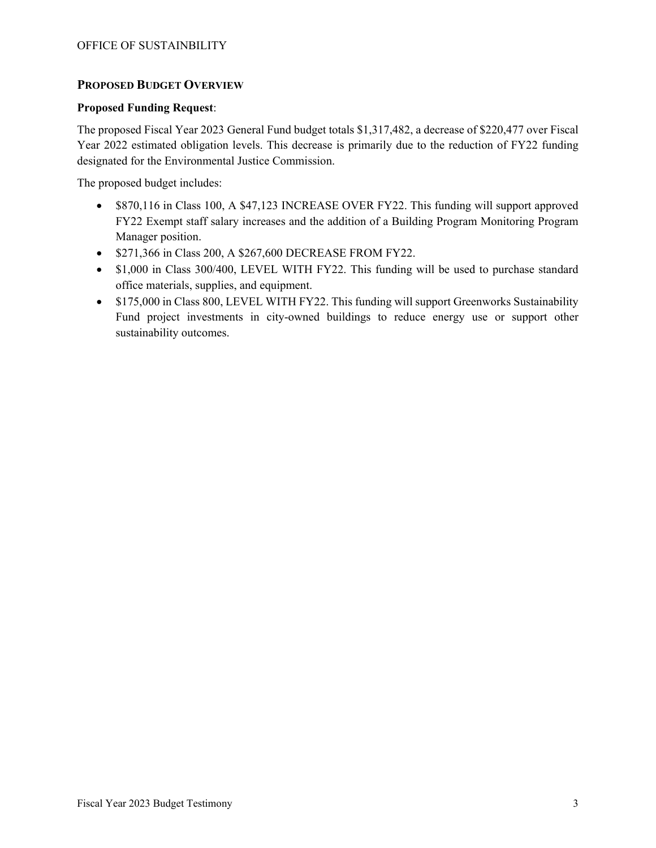## **PROPOSED BUDGET OVERVIEW**

#### **Proposed Funding Request**:

The proposed Fiscal Year 2023 General Fund budget totals \$1,317,482, a decrease of \$220,477 over Fiscal Year 2022 estimated obligation levels. This decrease is primarily due to the reduction of FY22 funding designated for the Environmental Justice Commission.

The proposed budget includes:

- \$870,116 in Class 100, A \$47,123 INCREASE OVER FY22. This funding will support approved FY22 Exempt staff salary increases and the addition of a Building Program Monitoring Program Manager position.
- \$271,366 in Class 200, A \$267,600 DECREASE FROM FY22.
- \$1,000 in Class 300/400, LEVEL WITH FY22. This funding will be used to purchase standard office materials, supplies, and equipment.
- \$175,000 in Class 800, LEVEL WITH FY22. This funding will support Greenworks Sustainability Fund project investments in city-owned buildings to reduce energy use or support other sustainability outcomes.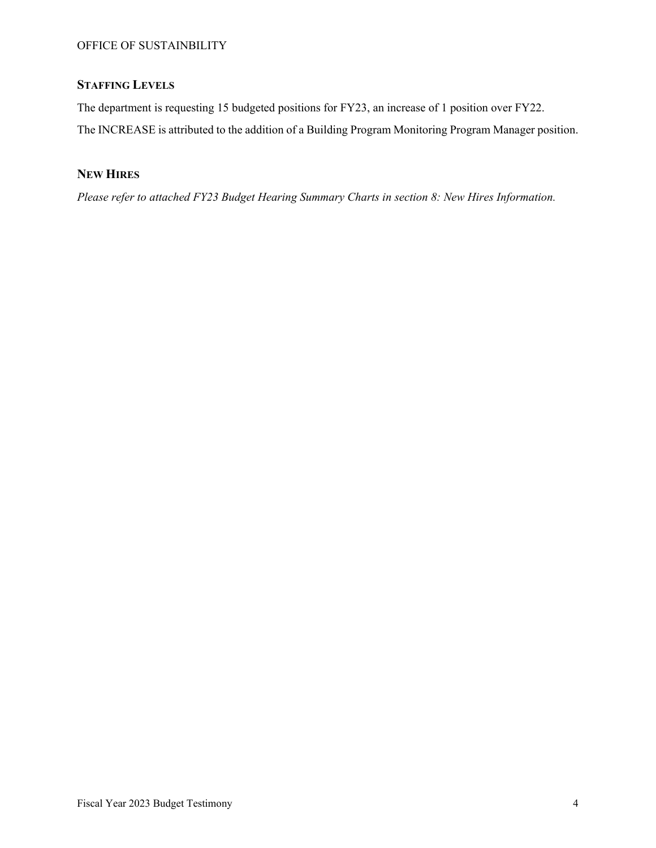# **STAFFING LEVELS**

The department is requesting 15 budgeted positions for FY23, an increase of 1 position over FY22. The INCREASE is attributed to the addition of a Building Program Monitoring Program Manager position.

## **NEW HIRES**

*Please refer to attached FY23 Budget Hearing Summary Charts in section 8: New Hires Information.*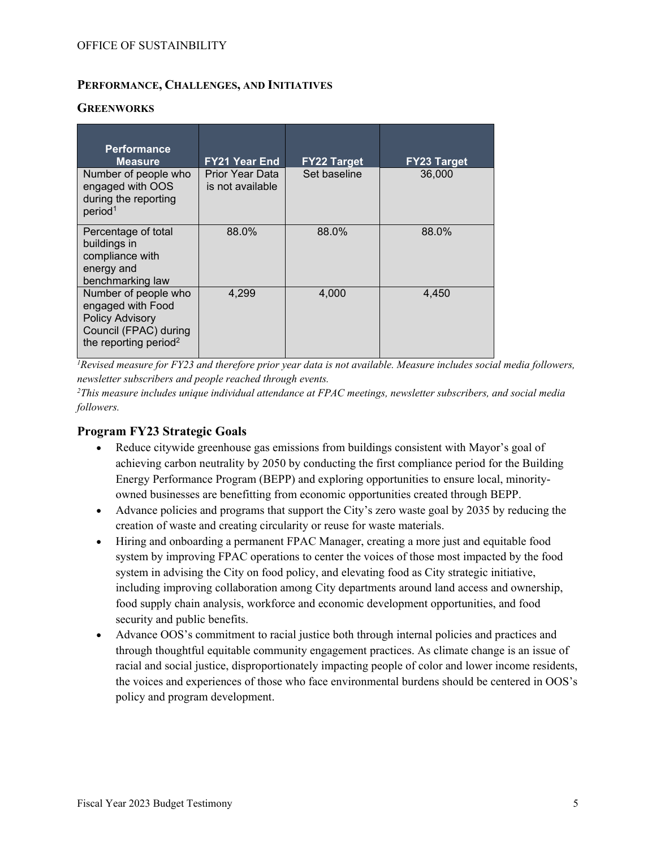## **PERFORMANCE, CHALLENGES, AND INITIATIVES**

#### **GREENWORKS**

| <b>Performance</b><br><b>Measure</b>                                                                                              | <b>FY21 Year End</b>                | <b>FY22 Target</b> | <b>FY23 Target</b> |
|-----------------------------------------------------------------------------------------------------------------------------------|-------------------------------------|--------------------|--------------------|
| Number of people who<br>engaged with OOS<br>during the reporting<br>period <sup>1</sup>                                           | Prior Year Data<br>is not available | Set baseline       | 36,000             |
| Percentage of total<br>buildings in<br>compliance with<br>energy and<br>benchmarking law                                          | 88.0%                               | 88.0%              | 88.0%              |
| Number of people who<br>engaged with Food<br><b>Policy Advisory</b><br>Council (FPAC) during<br>the reporting period <sup>2</sup> | 4.299                               | 4.000              | 4,450              |

*<sup>1</sup>Revised measure for FY23 and therefore prior year data is not available. Measure includes social media followers, newsletter subscribers and people reached through events.* 

*<sup>2</sup>This measure includes unique individual attendance at FPAC meetings, newsletter subscribers, and social media followers.*

## **Program FY23 Strategic Goals**

- Reduce citywide greenhouse gas emissions from buildings consistent with Mayor's goal of achieving carbon neutrality by 2050 by conducting the first compliance period for the Building Energy Performance Program (BEPP) and exploring opportunities to ensure local, minorityowned businesses are benefitting from economic opportunities created through BEPP.
- Advance policies and programs that support the City's zero waste goal by 2035 by reducing the creation of waste and creating circularity or reuse for waste materials.
- Hiring and onboarding a permanent FPAC Manager, creating a more just and equitable food system by improving FPAC operations to center the voices of those most impacted by the food system in advising the City on food policy, and elevating food as City strategic initiative, including improving collaboration among City departments around land access and ownership, food supply chain analysis, workforce and economic development opportunities, and food security and public benefits.
- Advance OOS's commitment to racial justice both through internal policies and practices and through thoughtful equitable community engagement practices. As climate change is an issue of racial and social justice, disproportionately impacting people of color and lower income residents, the voices and experiences of those who face environmental burdens should be centered in OOS's policy and program development.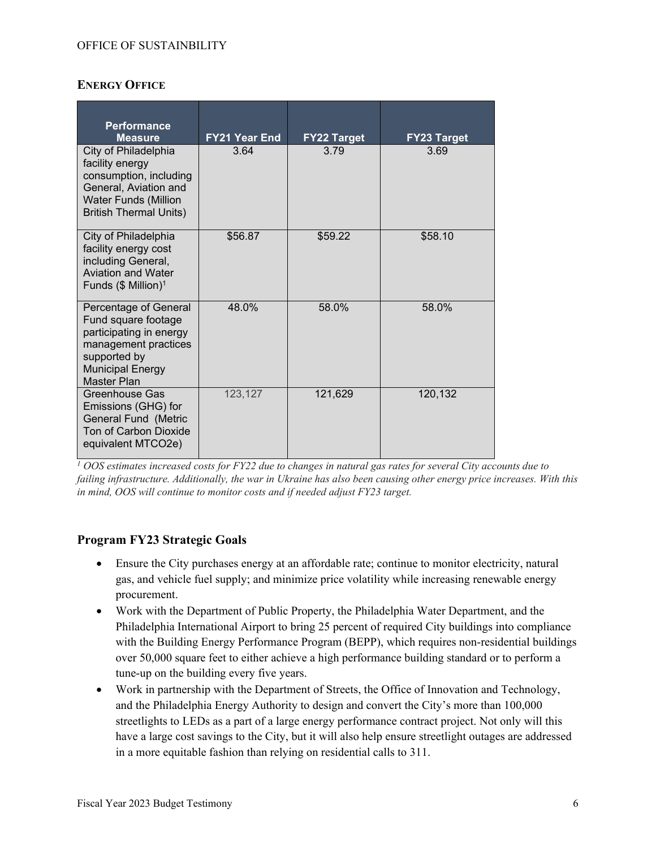## **ENERGY OFFICE**

| <b>Performance</b><br><b>Measure</b>                                                                                                                       | <b>FY21 Year End</b> | <b>FY22 Target</b> | <b>FY23 Target</b> |
|------------------------------------------------------------------------------------------------------------------------------------------------------------|----------------------|--------------------|--------------------|
| City of Philadelphia<br>facility energy<br>consumption, including<br>General, Aviation and<br><b>Water Funds (Million</b><br><b>British Thermal Units)</b> | 3.64                 | 3.79               | 3.69               |
| City of Philadelphia<br>facility energy cost<br>including General,<br><b>Aviation and Water</b><br>Funds $($$ Million) <sup>1</sup>                        | \$56.87              | \$59.22            | \$58.10            |
| Percentage of General<br>Fund square footage<br>participating in energy<br>management practices<br>supported by<br><b>Municipal Energy</b><br>Master Plan  | 48.0%                | 58.0%              | 58.0%              |
| Greenhouse Gas<br>Emissions (GHG) for<br><b>General Fund (Metric</b><br>Ton of Carbon Dioxide<br>equivalent MTCO2e)                                        | 123,127              | 121,629            | 120,132            |

*<sup>1</sup> OOS estimates increased costs for FY22 due to changes in natural gas rates for several City accounts due to failing infrastructure. Additionally, the war in Ukraine has also been causing other energy price increases. With this in mind, OOS will continue to monitor costs and if needed adjust FY23 target.* 

## **Program FY23 Strategic Goals**

- Ensure the City purchases energy at an affordable rate; continue to monitor electricity, natural gas, and vehicle fuel supply; and minimize price volatility while increasing renewable energy procurement.
- Work with the Department of Public Property, the Philadelphia Water Department, and the Philadelphia International Airport to bring 25 percent of required City buildings into compliance with the Building Energy Performance Program (BEPP), which requires non-residential buildings over 50,000 square feet to either achieve a high performance building standard or to perform a tune-up on the building every five years.
- Work in partnership with the Department of Streets, the Office of Innovation and Technology, and the Philadelphia Energy Authority to design and convert the City's more than 100,000 streetlights to LEDs as a part of a large energy performance contract project. Not only will this have a large cost savings to the City, but it will also help ensure streetlight outages are addressed in a more equitable fashion than relying on residential calls to 311.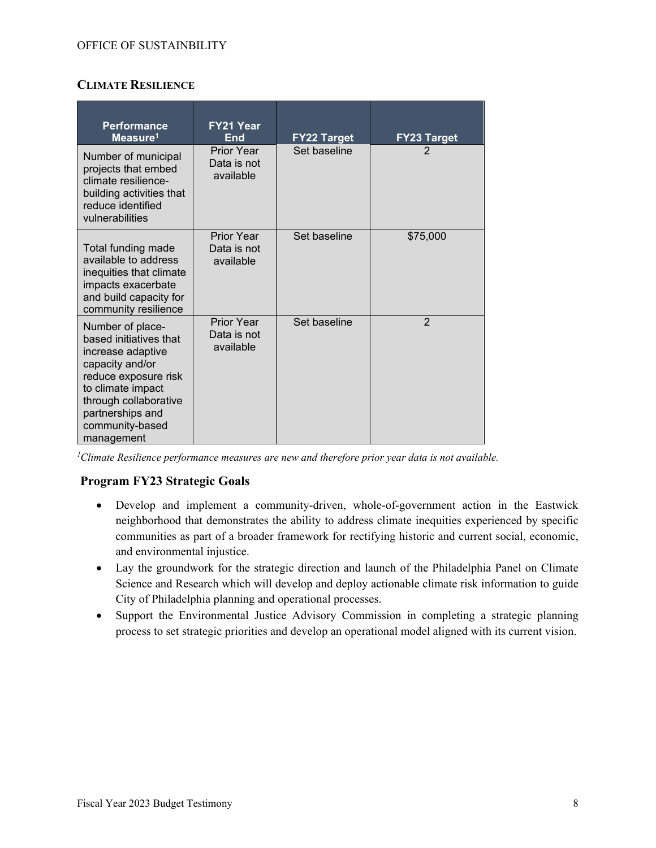## **CLIMATE RESILIENCE**

| <b>Performance</b><br>Measure <sup>1</sup>                                                                                                                                                                    | FY21 Year<br>End                              | <b>FY22 Target</b> | <b>FY23 Target</b> |
|---------------------------------------------------------------------------------------------------------------------------------------------------------------------------------------------------------------|-----------------------------------------------|--------------------|--------------------|
| Number of municipal<br>projects that embed<br>climate resilience-<br>building activities that<br>reduce identified<br>vulnerabilities                                                                         | Prior Year<br>Data is not<br>available        | Set baseline       |                    |
| Total funding made<br>available to address<br>inequities that climate<br>impacts exacerbate<br>and build capacity for<br>community resilience                                                                 | <b>Prior Year</b><br>Data is not<br>available | Set baseline       | \$75,000           |
| Number of place-<br>based initiatives that<br>increase adaptive<br>capacity and/or<br>reduce exposure risk<br>to climate impact<br>through collaborative<br>partnerships and<br>community-based<br>management | <b>Prior Year</b><br>Data is not<br>available | Set baseline       | $\overline{2}$     |

*<sup>1</sup>Climate Resilience performance measures are new and therefore prior year data is not available.*

## **Program FY23 Strategic Goals**

- Develop and implement a community-driven, whole-of-government action in the Eastwick neighborhood that demonstrates the ability to address climate inequities experienced by specific communities as part of a broader framework for rectifying historic and current social, economic, and environmental injustice.
- Lay the groundwork for the strategic direction and launch of the Philadelphia Panel on Climate Science and Research which will develop and deploy actionable climate risk information to guide City of Philadelphia planning and operational processes.
- Support the Environmental Justice Advisory Commission in completing a strategic planning process to set strategic priorities and develop an operational model aligned with its current vision.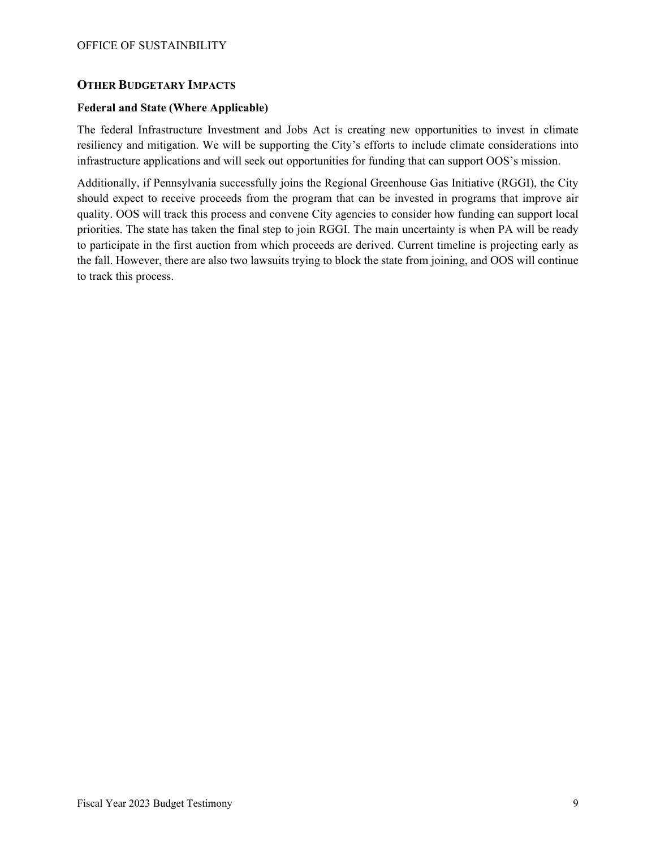## **OTHER BUDGETARY IMPACTS**

#### **Federal and State (Where Applicable)**

The federal Infrastructure Investment and Jobs Act is creating new opportunities to invest in climate resiliency and mitigation. We will be supporting the City's efforts to include climate considerations into infrastructure applications and will seek out opportunities for funding that can support OOS's mission.

Additionally, if Pennsylvania successfully joins the Regional Greenhouse Gas Initiative (RGGI), the City should expect to receive proceeds from the program that can be invested in programs that improve air quality. OOS will track this process and convene City agencies to consider how funding can support local priorities. The state has taken the final step to join RGGI. The main uncertainty is when PA will be ready to participate in the first auction from which proceeds are derived. Current timeline is projecting early as the fall. However, there are also two lawsuits trying to block the state from joining, and OOS will continue to track this process.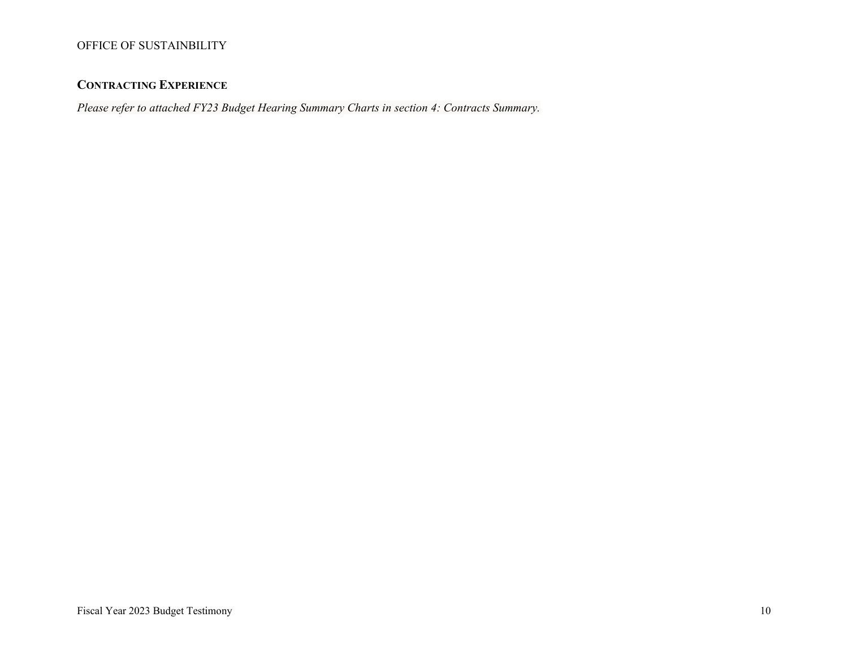## **CONTRACTING EXPERIENCE**

*Please refer to attached FY23 Budget Hearing Summary Charts in section 4: Contracts Summary.*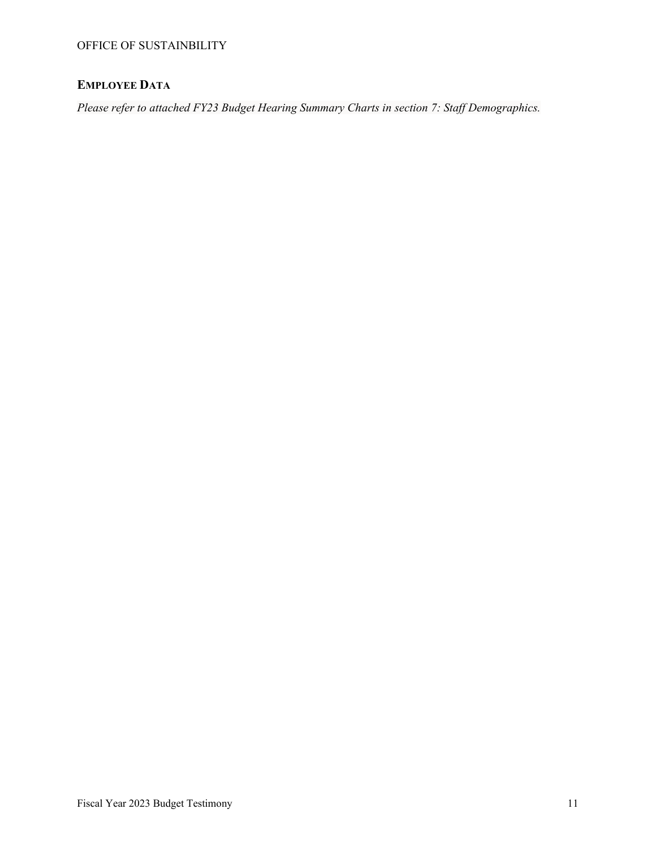# **EMPLOYEE DATA**

*Please refer to attached FY23 Budget Hearing Summary Charts in section 7: Staff Demographics.*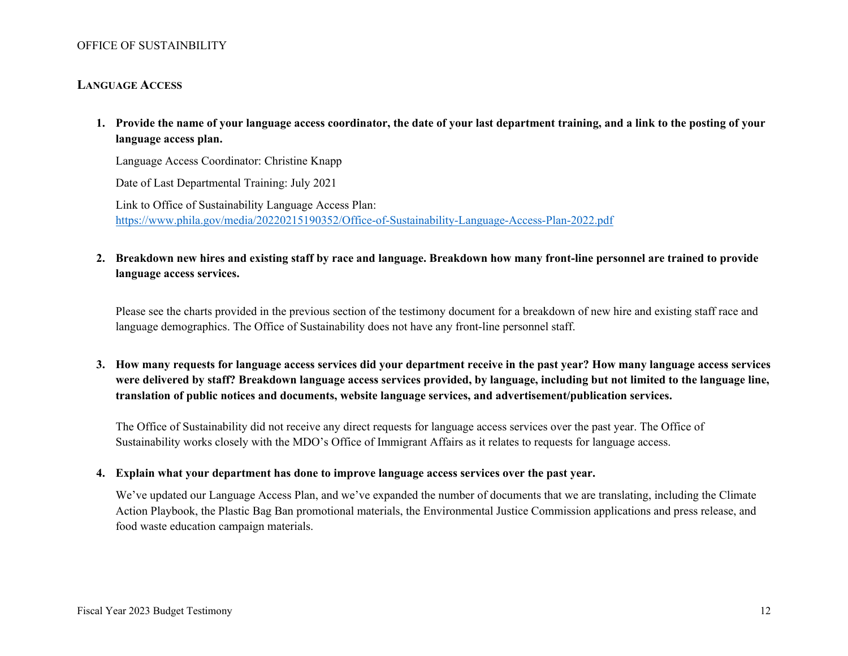#### **LANGUAGE ACCESS**

**1. Provide the name of your language access coordinator, the date of your last department training, and a link to the posting of your language access plan.**

Language Access Coordinator: Christine Knapp

Date of Last Departmental Training: July 2021

Link to Office of Sustainability Language Access Plan: <https://www.phila.gov/media/20220215190352/Office-of-Sustainability-Language-Access-Plan-2022.pdf>

## **2. Breakdown new hires and existing staff by race and language. Breakdown how many front-line personnel are trained to provide language access services.**

Please see the charts provided in the previous section of the testimony document for a breakdown of new hire and existing staff race and language demographics. The Office of Sustainability does not have any front-line personnel staff.

**3. How many requests for language access services did your department receive in the past year? How many language access services were delivered by staff? Breakdown language access services provided, by language, including but not limited to the language line, translation of public notices and documents, website language services, and advertisement/publication services.**

The Office of Sustainability did not receive any direct requests for language access services over the past year. The Office of Sustainability works closely with the MDO's Office of Immigrant Affairs as it relates to requests for language access.

#### **4. Explain what your department has done to improve language access services over the past year.**

We've updated our Language Access Plan, and we've expanded the number of documents that we are translating, including the Climate Action Playbook, the Plastic Bag Ban promotional materials, the Environmental Justice Commission applications and press release, and food waste education campaign materials.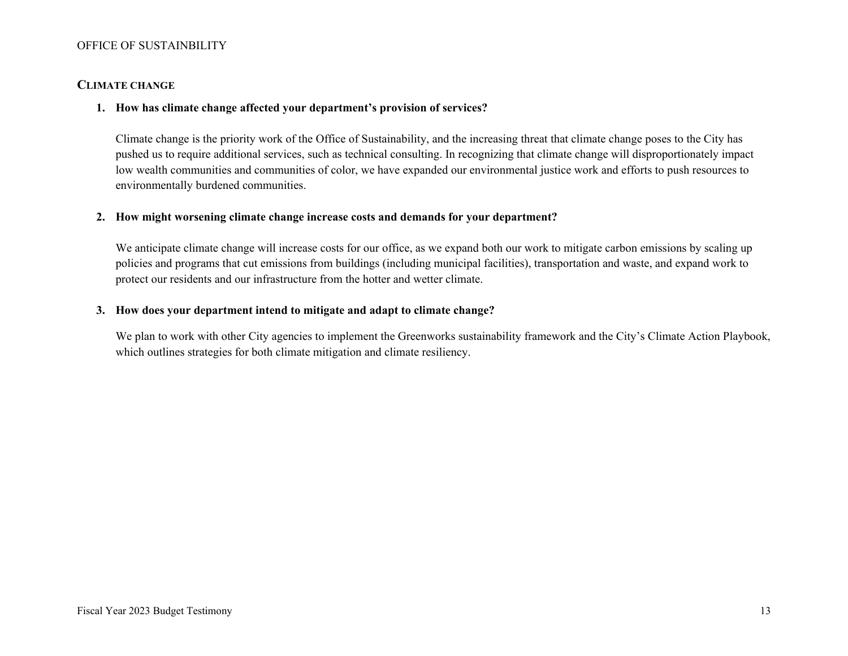#### **CLIMATE CHANGE**

#### **1. How has climate change affected your department's provision of services?**

Climate change is the priority work of the Office of Sustainability, and the increasing threat that climate change poses to the City has pushed us to require additional services, such as technical consulting. In recognizing that climate change will disproportionately impact low wealth communities and communities of color, we have expanded our environmental justice work and efforts to push resources to environmentally burdened communities.

#### **2. How might worsening climate change increase costs and demands for your department?**

We anticipate climate change will increase costs for our office, as we expand both our work to mitigate carbon emissions by scaling up policies and programs that cut emissions from buildings (including municipal facilities), transportation and waste, and expand work to protect our residents and our infrastructure from the hotter and wetter climate.

#### **3. How does your department intend to mitigate and adapt to climate change?**

We plan to work with other City agencies to implement the Greenworks sustainability framework and the City's Climate Action Playbook, which outlines strategies for both climate mitigation and climate resiliency.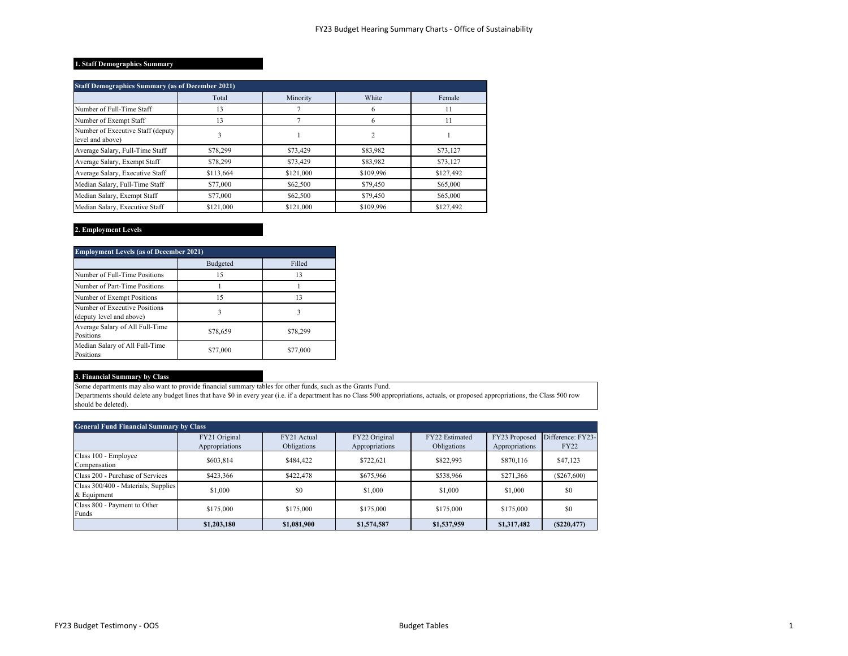#### **1. Staff Demographics Summary**

| <b>Staff Demographics Summary (as of December 2021)</b> |           |           |           |           |  |  |
|---------------------------------------------------------|-----------|-----------|-----------|-----------|--|--|
|                                                         | Total     | Minority  | White     | Female    |  |  |
| Number of Full-Time Staff                               | 13        |           | 6         | 11        |  |  |
| Number of Exempt Staff                                  | 13        |           | 6         | 11        |  |  |
| Number of Executive Staff (deputy<br>level and above)   | 3         |           | 2         |           |  |  |
| Average Salary, Full-Time Staff                         | \$78,299  | \$73,429  | \$83,982  | \$73,127  |  |  |
| Average Salary, Exempt Staff                            | \$78,299  | \$73,429  | \$83,982  | \$73,127  |  |  |
| Average Salary, Executive Staff                         | \$113,664 | \$121,000 | \$109,996 | \$127,492 |  |  |
| Median Salary, Full-Time Staff                          | \$77,000  | \$62,500  | \$79,450  | \$65,000  |  |  |
| Median Salary, Exempt Staff                             | \$77,000  | \$62,500  | \$79,450  | \$65,000  |  |  |
| Median Salary, Executive Staff                          | \$121,000 | \$121,000 | \$109,996 | \$127,492 |  |  |

#### **2. Employment Levels**

| <b>Employment Levels (as of December 2021)</b>            |          |          |  |  |  |
|-----------------------------------------------------------|----------|----------|--|--|--|
|                                                           | Budgeted | Filled   |  |  |  |
| Number of Full-Time Positions                             | 15       | 13       |  |  |  |
| Number of Part-Time Positions                             |          |          |  |  |  |
| Number of Exempt Positions                                | 15       | 13       |  |  |  |
| Number of Executive Positions<br>(deputy level and above) | 3        | 3        |  |  |  |
| Average Salary of All Full-Time<br>Positions              | \$78,659 | \$78,299 |  |  |  |
| Median Salary of All Full-Time<br>Positions               | \$77,000 | \$77,000 |  |  |  |

#### **3. Financial Summary by Class**

Some departments may also want to provide financial summary tables for other funds, such as the Grants Fund.

Departments should delete any budget lines that have \$0 in every year (i.e. if a department has no Class 500 appropriations, actuals, or proposed appropriations, the Class 500 row should be deleted).

| <b>General Fund Financial Summary by Class</b>     |                                 |                            |                                 |                               |                                 |                                  |  |  |
|----------------------------------------------------|---------------------------------|----------------------------|---------------------------------|-------------------------------|---------------------------------|----------------------------------|--|--|
|                                                    | FY21 Original<br>Appropriations | FY21 Actual<br>Obligations | FY22 Original<br>Appropriations | FY22 Estimated<br>Obligations | FY23 Proposed<br>Appropriations | Difference: FY23-<br><b>FY22</b> |  |  |
| Class 100 - Employee<br>Compensation               | \$603,814                       | \$484,422                  | \$722,621                       | \$822,993                     | \$870,116                       | \$47,123                         |  |  |
| Class 200 - Purchase of Services                   | \$423,366                       | \$422,478                  | \$675,966                       | \$538,966                     | \$271,366                       | $(\$267,600)$                    |  |  |
| Class 300/400 - Materials, Supplies<br>& Equipment | \$1,000                         | \$0                        | \$1.000                         | \$1,000                       | \$1,000                         | \$0                              |  |  |
| Class 800 - Payment to Other<br>Funds              | \$175,000                       | \$175,000                  | \$175,000                       | \$175,000                     | \$175,000                       | \$0                              |  |  |
|                                                    | \$1,203,180                     | \$1,081,900                | \$1,574,587                     | \$1,537,959                   | \$1,317,482                     | (S220, 477)                      |  |  |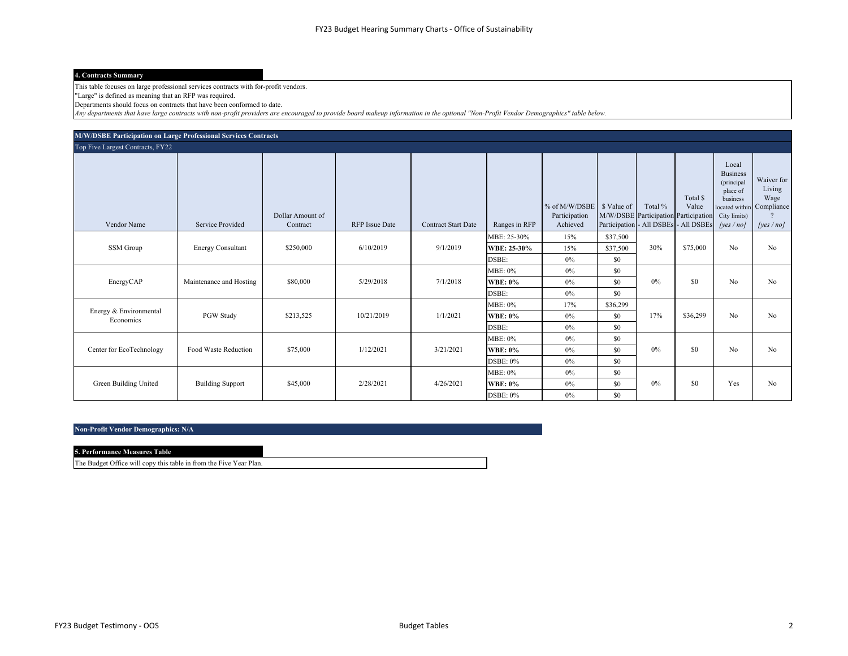#### **4. Contracts Summary**

This table focuses on large professional services contracts with for-profit vendors.

"Large" is defined as meaning that an RFP was required.

Departments should focus on contracts that have been conformed to date.

*Any departments that have large contracts with non-profit providers are encouraged to provide board makeup information in the optional "Non-Profit Vendor Demographics" table below.*

| M/W/DSBE Participation on Large Professional Services Contracts |                          |                              |                       |                            |                |                                            |             |                                                                                          |                   |                                                                                                |                                                                          |
|-----------------------------------------------------------------|--------------------------|------------------------------|-----------------------|----------------------------|----------------|--------------------------------------------|-------------|------------------------------------------------------------------------------------------|-------------------|------------------------------------------------------------------------------------------------|--------------------------------------------------------------------------|
| Top Five Largest Contracts, FY22                                |                          |                              |                       |                            |                |                                            |             |                                                                                          |                   |                                                                                                |                                                                          |
| Vendor Name                                                     | Service Provided         | Dollar Amount of<br>Contract | <b>RFP</b> Issue Date | <b>Contract Start Date</b> | Ranges in RFP  | % of M/W/DSBE<br>Participation<br>Achieved | \$ Value of | Total %<br>M/W/DSBE Participation Participation<br>Participation - All DSBEs - All DSBEs | Total \$<br>Value | Local<br><b>Business</b><br>(principal<br>place of<br>business<br>City limits)<br>[yes $/$ no] | Waiver for<br>Living<br>Wage<br>ocated within Compliance<br>[yes $/$ no] |
|                                                                 |                          |                              |                       |                            | MBE: 25-30%    | 15%                                        | \$37,500    |                                                                                          |                   |                                                                                                |                                                                          |
| SSM Group                                                       | <b>Energy Consultant</b> | \$250,000                    | 6/10/2019             | 9/1/2019                   | WBE: 25-30%    | 15%                                        | \$37,500    | 30%                                                                                      | \$75,000          | No                                                                                             | No                                                                       |
|                                                                 |                          |                              |                       |                            | DSBE:          | 0%                                         | \$0         |                                                                                          |                   |                                                                                                |                                                                          |
|                                                                 |                          |                              |                       |                            | <b>MBE: 0%</b> | 0%                                         | \$0         |                                                                                          |                   |                                                                                                |                                                                          |
| EnergyCAP                                                       | Maintenance and Hosting  | \$80,000                     | 5/29/2018             | 7/1/2018                   | <b>WBE: 0%</b> | 0%                                         | \$0         | $0\%$                                                                                    | \$0               | No                                                                                             | No                                                                       |
|                                                                 |                          |                              |                       |                            | DSBE:          | 0%                                         | \$0         |                                                                                          |                   |                                                                                                |                                                                          |
| Energy & Environmental                                          |                          |                              |                       |                            | MBE: 0%        | 17%                                        | \$36,299    |                                                                                          |                   |                                                                                                |                                                                          |
| Economics                                                       | PGW Study                | \$213,525                    | 10/21/2019            | 1/1/2021                   | <b>WBE: 0%</b> | 0%                                         | \$0         | 17%                                                                                      | \$36,299          | No                                                                                             | N <sub>0</sub>                                                           |
|                                                                 |                          |                              |                       |                            | DSBE:          | $0\%$                                      | \$0         |                                                                                          |                   |                                                                                                |                                                                          |
|                                                                 |                          |                              |                       |                            | MBE: 0%        | $0\%$                                      | \$0         |                                                                                          |                   |                                                                                                |                                                                          |
| Center for EcoTechnology                                        | Food Waste Reduction     | \$75,000                     | 1/12/2021             | 3/21/2021                  | <b>WBE: 0%</b> | 0%                                         | \$0         | $0\%$                                                                                    | \$0               | No                                                                                             | No                                                                       |
|                                                                 |                          |                              |                       |                            | DSBE: 0%       | $0\%$                                      | \$0         |                                                                                          |                   |                                                                                                |                                                                          |
|                                                                 |                          |                              |                       |                            | MBE: 0%        | 0%                                         | \$0         |                                                                                          |                   |                                                                                                |                                                                          |
| Green Building United                                           | <b>Building Support</b>  | \$45,000                     | 2/28/2021             | 4/26/2021                  | <b>WBE: 0%</b> | $0\%$                                      | \$0         | $0\%$                                                                                    | \$0               | Yes                                                                                            | N <sub>0</sub>                                                           |
|                                                                 |                          |                              |                       |                            | DSBE: 0%       | $0\%$                                      | \$0         |                                                                                          |                   |                                                                                                |                                                                          |

#### **Non-Profit Vendor Demographics: N/A**

| 5. Performance Measures Table                                      |  |
|--------------------------------------------------------------------|--|
| The Budget Office will copy this table in from the Five Year Plan. |  |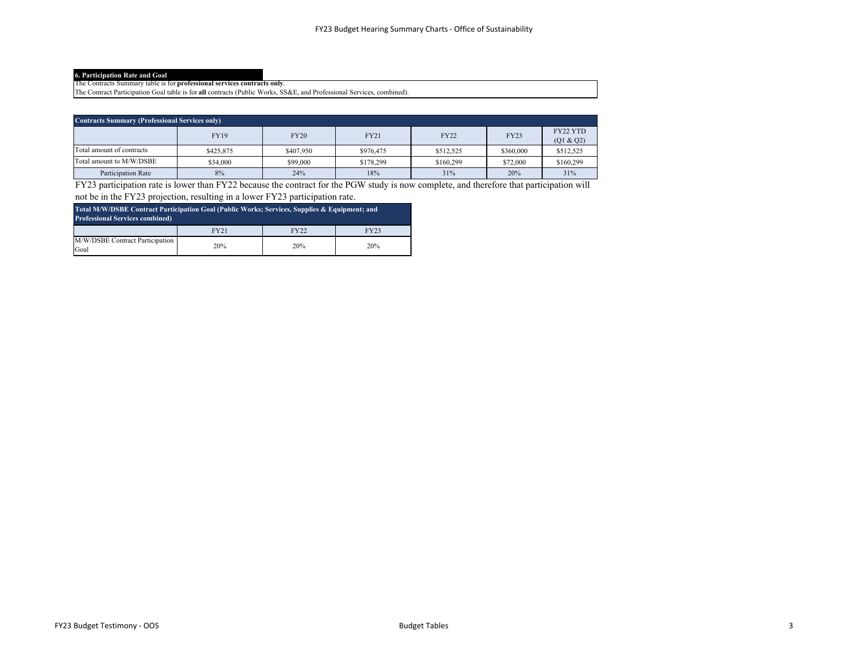**6. Participation Rate and Goal** The Contracts Summary table is for **professional services contracts only**.

The Contract Participation Goal table is for **all** contracts (Public Works, SS&E, and Professional Services, combined).

| <b>Contracts Summary (Professional Services only)</b> |             |             |           |             |             |                       |  |
|-------------------------------------------------------|-------------|-------------|-----------|-------------|-------------|-----------------------|--|
|                                                       | <b>FY19</b> | <b>FY20</b> | FY21      | <b>FY22</b> | <b>FY23</b> | FY22 YTD<br>(Q1 & Q2) |  |
| Total amount of contracts                             | \$425,875   | \$407,950   | \$976,475 | \$512,525   | \$360,000   | \$512,525             |  |
| Total amount to M/W/DSBE                              | \$34,000    | \$99,000    | \$178,299 | \$160,299   | \$72,000    | \$160,299             |  |
| Participation Rate                                    | 8%          | 24%         | 18%       | 31%         | 20%         | 31%                   |  |

FY23 participation rate is lower than FY22 because the contract for the PGW study is now complete, and therefore that participation will not be in the FY23 projection, resulting in a lower FY23 participation rate.

| Total M/W/DSBE Contract Participation Goal (Public Works; Services, Supplies & Equipment; and<br><b>Professional Services combined)</b> |      |             |      |  |  |  |
|-----------------------------------------------------------------------------------------------------------------------------------------|------|-------------|------|--|--|--|
|                                                                                                                                         | FY21 | <b>FY22</b> | FY23 |  |  |  |
| M/W/DSBE Contract Participation<br>Goal                                                                                                 | 20%  | 20%         | 20%  |  |  |  |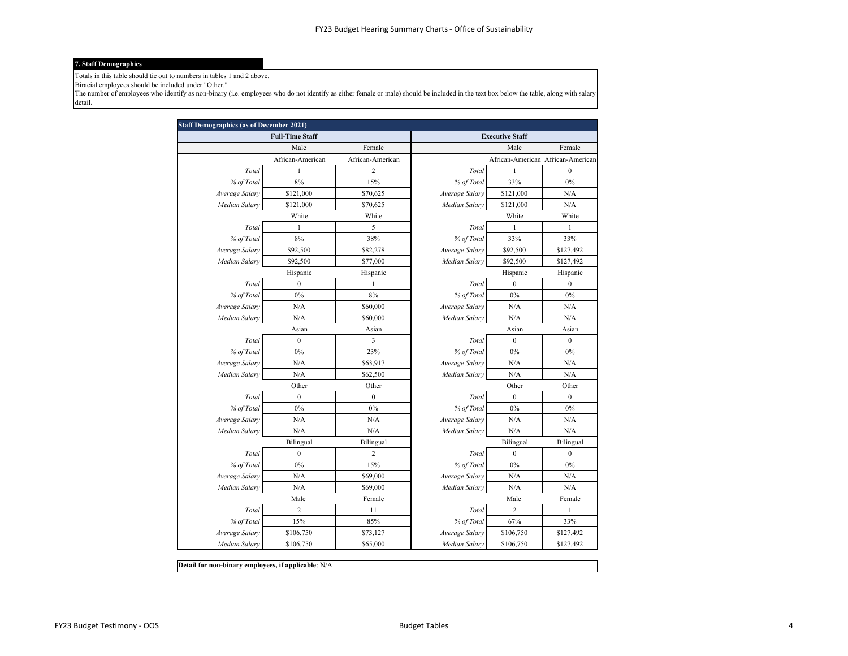#### **7. Staff Demographics**

Totals in this table should tie out to numbers in tables 1 and 2 above.

Biracial employees should be included under "Other."

The number of employees who identify as non-binary (i.e. employees who do not identify as either female or male) should be included in the text box below the table, along with salary detail.

| <b>Staff Demographics (as of December 2021)</b> |                        |                  |                |                        |                                   |  |  |
|-------------------------------------------------|------------------------|------------------|----------------|------------------------|-----------------------------------|--|--|
|                                                 | <b>Full-Time Staff</b> |                  |                | <b>Executive Staff</b> |                                   |  |  |
|                                                 | Male                   | Female           |                | Male                   | Female                            |  |  |
|                                                 | African-American       | African-American |                |                        | African-American African-American |  |  |
| Total                                           | 1                      | $\overline{c}$   | Total          | $\mathbf{1}$           | $\boldsymbol{0}$                  |  |  |
| % of Total                                      | 8%                     | 15%              | % of Total     | 33%                    | $0\%$                             |  |  |
| Average Salary                                  | \$121,000              | \$70,625         | Average Salary | \$121,000              | N/A                               |  |  |
| Median Salary                                   | \$121,000              | \$70,625         | Median Salary  | \$121,000              | N/A                               |  |  |
|                                                 | White                  | White            |                | White                  | White                             |  |  |
| Total                                           | $\mathbf{1}$           | 5                | Total          | $\mathbf{1}$           | $\mathbf{1}$                      |  |  |
| % of Total                                      | 8%                     | 38%              | % of Total     | 33%                    | 33%                               |  |  |
| Average Salary                                  | \$92,500               | \$82,278         | Average Salary | \$92,500               | \$127,492                         |  |  |
| Median Salary                                   | \$92,500               | \$77,000         | Median Salary  | \$92,500               | \$127,492                         |  |  |
|                                                 | Hispanic               | Hispanic         |                | Hispanic               | Hispanic                          |  |  |
| Total                                           | $\boldsymbol{0}$       | 1                | Total          | $\mathbf{0}$           | $\boldsymbol{0}$                  |  |  |
| % of Total                                      | 0%                     | $8\%$            | % of Total     | $0\%$                  | $0\%$                             |  |  |
| Average Salary                                  | N/A                    | \$60,000         | Average Salary | N/A                    | N/A                               |  |  |
| Median Salary                                   | N/A                    | \$60,000         | Median Salary  | N/A                    | N/A                               |  |  |
|                                                 | Asian                  | Asian            |                | Asian                  | Asian                             |  |  |
| Total                                           | $\boldsymbol{0}$       | 3                | Total          | $\boldsymbol{0}$       | $\boldsymbol{0}$                  |  |  |
| % of Total                                      | 0%                     | 23%              | % of Total     | 0%                     | 0%                                |  |  |
| Average Salary                                  | N/A                    | \$63,917         | Average Salary | N/A                    | N/A                               |  |  |
| Median Salary                                   | N/A                    | \$62,500         | Median Salary  | N/A                    | N/A                               |  |  |
|                                                 | Other                  | Other            |                | Other                  | Other                             |  |  |
| Total                                           | $\mathbf{0}$           | $\mathbf{0}$     | Total          | $\mathbf{0}$           | $\mathbf{0}$                      |  |  |
| % of Total                                      | 0%                     | $0\%$            | % of Total     | $0\%$                  | $0\%$                             |  |  |
| Average Salary                                  | N/A                    | N/A              | Average Salary | N/A                    | N/A                               |  |  |
| Median Salary                                   | N/A                    | N/A              | Median Salary  | N/A                    | N/A                               |  |  |
|                                                 | Bilingual              | Bilingual        |                | Bilingual              | Bilingual                         |  |  |
| Total                                           | $\boldsymbol{0}$       | 2                | Total          | $\boldsymbol{0}$       | $\boldsymbol{0}$                  |  |  |
| % of Total                                      | 0%                     | 15%              | % of Total     | 0%                     | 0%                                |  |  |
| Average Salary                                  | N/A                    | \$69,000         | Average Salary | N/A                    | N/A                               |  |  |
| Median Salary                                   | N/A                    | \$69,000         | Median Salary  | N/A                    | N/A                               |  |  |
|                                                 | Male                   | Female           |                | Male                   | Female                            |  |  |
| Total                                           | $\overline{2}$         | 11               | Total          | $\overline{c}$         | $\mathbf{1}$                      |  |  |
| % of Total                                      | 15%                    | 85%              | % of Total     | 67%                    | 33%                               |  |  |
| Average Salary                                  | \$106,750              | \$73,127         | Average Salary | \$106,750              | \$127,492                         |  |  |
| Median Salary                                   | \$106,750              | \$65,000         | Median Salary  | \$106,750              | \$127,492                         |  |  |
|                                                 |                        |                  |                |                        |                                   |  |  |

**Detail for non-binary employees, if applicable**: N/A